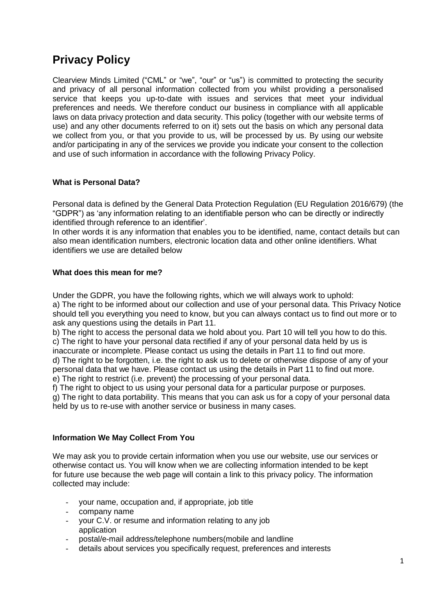# **Privacy Policy**

Clearview Minds Limited ("CML" or "we", "our" or "us") is committed to protecting the security and privacy of all personal information collected from you whilst providing a personalised service that keeps you up-to-date with issues and services that meet your individual preferences and needs. We therefore conduct our business in compliance with all applicable laws on data privacy protection and data security. This policy (together with our website terms of use) and any other documents referred to on it) sets out the basis on which any personal data we collect from you, or that you provide to us, will be processed by us. By using our website and/or participating in any of the services we provide you indicate your consent to the collection and use of such information in accordance with the following Privacy Policy.

# **What is Personal Data?**

Personal data is defined by the General Data Protection Regulation (EU Regulation 2016/679) (the "GDPR") as 'any information relating to an identifiable person who can be directly or indirectly identified through reference to an identifier'.

In other words it is any information that enables you to be identified, name, contact details but can also mean identification numbers, electronic location data and other online identifiers. What identifiers we use are detailed below

#### **What does this mean for me?**

Under the GDPR, you have the following rights, which we will always work to uphold: a) The right to be informed about our collection and use of your personal data. This Privacy Notice should tell you everything you need to know, but you can always contact us to find out more or to ask any questions using the details in Part 11.

b) The right to access the personal data we hold about you. Part 10 will tell you how to do this. c) The right to have your personal data rectified if any of your personal data held by us is

inaccurate or incomplete. Please contact us using the details in Part 11 to find out more. d) The right to be forgotten, i.e. the right to ask us to delete or otherwise dispose of any of your personal data that we have. Please contact us using the details in Part 11 to find out more. e) The right to restrict (i.e. prevent) the processing of your personal data.

f) The right to object to us using your personal data for a particular purpose or purposes.

g) The right to data portability. This means that you can ask us for a copy of your personal data held by us to re-use with another service or business in many cases.

#### **Information We May Collect From You**

We may ask you to provide certain information when you use our website, use our services or otherwise contact us. You will know when we are collecting information intended to be kept for future use because the web page will contain a link to this privacy policy. The information collected may include:

- your name, occupation and, if appropriate, job title
- company name
- your C.V. or resume and information relating to any job application
- postal/e-mail address/telephone numbers(mobile and landline
- details about services you specifically request, preferences and interests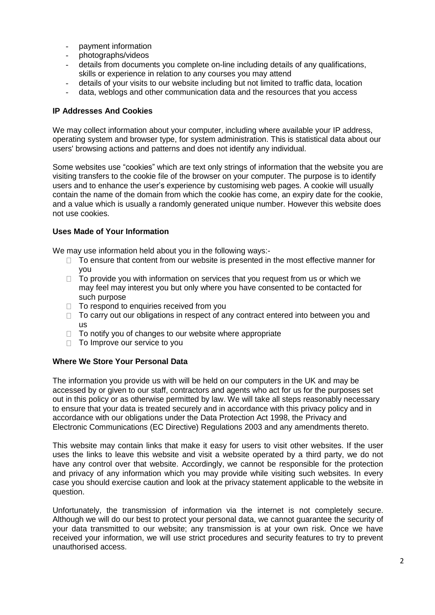- payment information
- photographs/videos
- details from documents you complete on-line including details of any qualifications, skills or experience in relation to any courses you may attend
- details of your visits to our website including but not limited to traffic data, location
- data, weblogs and other communication data and the resources that you access

#### **IP Addresses And Cookies**

We may collect information about your computer, including where available your IP address, operating system and browser type, for system administration. This is statistical data about our users' browsing actions and patterns and does not identify any individual.

Some websites use "cookies" which are text only strings of information that the website you are visiting transfers to the cookie file of the browser on your computer. The purpose is to identify users and to enhance the user's experience by customising web pages. A cookie will usually contain the name of the domain from which the cookie has come, an expiry date for the cookie, and a value which is usually a randomly generated unique number. However this website does not use cookies.

#### **Uses Made of Your Information**

We may use information held about you in the following ways:-

- $\Box$  To ensure that content from our website is presented in the most effective manner for you
- $\Box$  To provide you with information on services that you request from us or which we may feel may interest you but only where you have consented to be contacted for such purpose
- $\Box$  To respond to enquiries received from you
- $\Box$  To carry out our obligations in respect of any contract entered into between you and us
- $\Box$  To notify you of changes to our website where appropriate
- □ To Improve our service to you

#### **Where We Store Your Personal Data**

The information you provide us with will be held on our computers in the UK and may be accessed by or given to our staff, contractors and agents who act for us for the purposes set out in this policy or as otherwise permitted by law. We will take all steps reasonably necessary to ensure that your data is treated securely and in accordance with this privacy policy and in accordance with our obligations under the Data Protection Act 1998, the Privacy and Electronic Communications (EC Directive) Regulations 2003 and any amendments thereto.

This website may contain links that make it easy for users to visit other websites. If the user uses the links to leave this website and visit a website operated by a third party, we do not have any control over that website. Accordingly, we cannot be responsible for the protection and privacy of any information which you may provide while visiting such websites. In every case you should exercise caution and look at the privacy statement applicable to the website in question.

Unfortunately, the transmission of information via the internet is not completely secure. Although we will do our best to protect your personal data, we cannot guarantee the security of your data transmitted to our website; any transmission is at your own risk. Once we have received your information, we will use strict procedures and security features to try to prevent unauthorised access.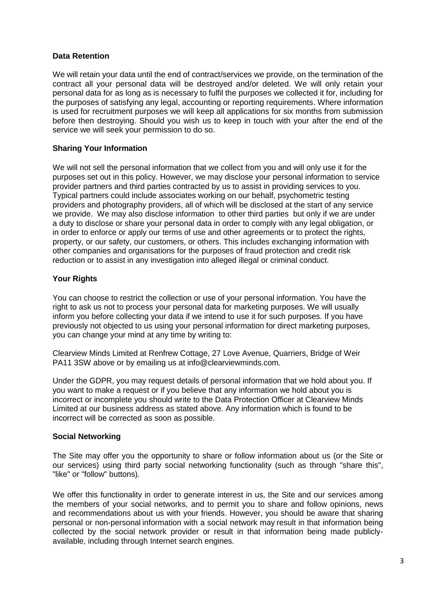## **Data Retention**

We will retain your data until the end of contract/services we provide, on the termination of the contract all your personal data will be destroyed and/or deleted. We will only retain your personal data for as long as is necessary to fulfil the purposes we collected it for, including for the purposes of satisfying any legal, accounting or reporting requirements. Where information is used for recruitment purposes we will keep all applications for six months from submission before then destroying. Should you wish us to keep in touch with your after the end of the service we will seek your permission to do so.

# **Sharing Your Information**

We will not sell the personal information that we collect from you and will only use it for the purposes set out in this policy. However, we may disclose your personal information to service provider partners and third parties contracted by us to assist in providing services to you. Typical partners could include associates working on our behalf, psychometric testing providers and photography providers, all of which will be disclosed at the start of any service we provide. We may also disclose information to other third parties but only if we are under a duty to disclose or share your personal data in order to comply with any legal obligation, or in order to enforce or apply our terms of use and other agreements or to protect the rights, property, or our safety, our customers, or others. This includes exchanging information with other companies and organisations for the purposes of fraud protection and credit risk reduction or to assist in any investigation into alleged illegal or criminal conduct.

## **Your Rights**

You can choose to restrict the collection or use of your personal information. You have the right to ask us not to process your personal data for marketing purposes. We will usually inform you before collecting your data if we intend to use it for such purposes. If you have previously not objected to us using your personal information for direct marketing purposes, you can change your mind at any time by writing to:

Clearview Minds Limited at Renfrew Cottage, 27 Love Avenue, Quarriers, Bridge of Weir PA11 3SW above or by emailing us at info@clearviewminds.com.

Under the GDPR, you may request details of personal information that we hold about you. If you want to make a request or if you believe that any information we hold about you is incorrect or incomplete you should write to the Data Protection Officer at Clearview Minds Limited at our business address as stated above. Any information which is found to be incorrect will be corrected as soon as possible.

#### **Social Networking**

The Site may offer you the opportunity to share or follow information about us (or the Site or our services) using third party social networking functionality (such as through "share this", "like" or "follow" buttons).

We offer this functionality in order to generate interest in us, the Site and our services among the members of your social networks, and to permit you to share and follow opinions, news and recommendations about us with your friends. However, you should be aware that sharing personal or non-personal information with a social network may result in that information being collected by the social network provider or result in that information being made publiclyavailable, including through Internet search engines.